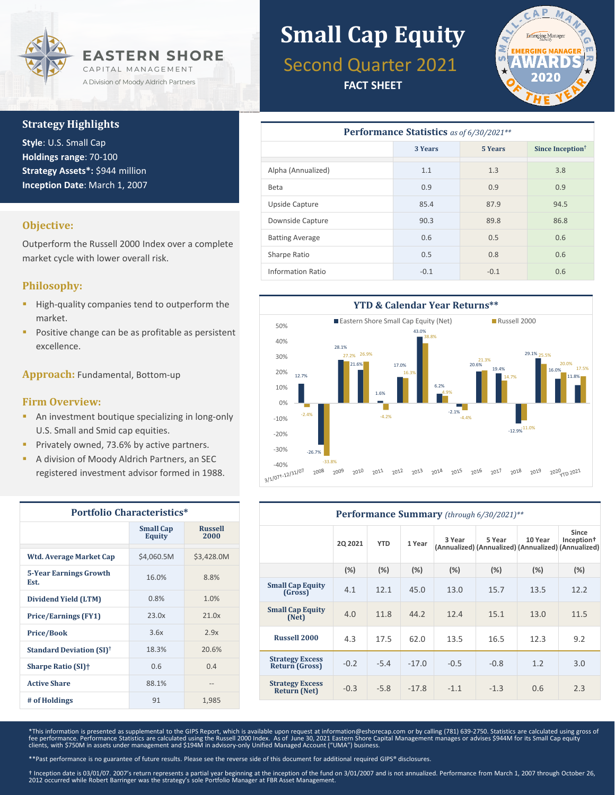

#### **Strategy Highlights**

**Style**: U.S. Small Cap **Holdings range**: 70-100 **Strategy Assets\*:** \$944 million **Inception Date**: March 1, 2007

#### **Objective:**

Outperform the Russell 2000 Index over a complete market cycle with lower overall risk.

#### **Philosophy:**

- High-quality companies tend to outperform the market.
- Positive change can be as profitable as persistent excellence.

**Approach:** Fundamental, Bottom-up

#### **Firm Overview:**

- **An investment boutique specializing in long-only** U.S. Small and Smid cap equities.
- Privately owned, 73.6% by active partners.
- A division of Moody Aldrich Partners, an SEC registered investment advisor formed in 1988.

| <b>Portfolio Characteristics*</b>          |                                   |                        |  |  |  |  |
|--------------------------------------------|-----------------------------------|------------------------|--|--|--|--|
|                                            | <b>Small Cap</b><br><b>Equity</b> | <b>Russell</b><br>2000 |  |  |  |  |
| Wtd. Average Market Cap                    | \$4,060.5M                        | \$3,428.0M             |  |  |  |  |
| <b>5-Year Earnings Growth</b><br>Est.      | 16.0%                             | 8.8%                   |  |  |  |  |
| Dividend Yield (LTM)                       | 0.8%                              | 1.0%                   |  |  |  |  |
| <b>Price/Earnings (FY1)</b>                | 23.0x                             | 21.0x                  |  |  |  |  |
| <b>Price/Book</b>                          | 3.6x                              | 2.9x                   |  |  |  |  |
| <b>Standard Deviation (SI)<sup>†</sup></b> | 18.3%                             | 20.6%                  |  |  |  |  |
| <b>Sharpe Ratio (SI)</b> †                 | 0.6                               | 0.4                    |  |  |  |  |
| <b>Active Share</b>                        | 88.1%                             | --                     |  |  |  |  |
| # of Holdings                              | 91                                | 1,985                  |  |  |  |  |

# **Small Cap Equity**

## Second Quarter 2021

**FACT SHEET**



| Performance Statistics as of 6/30/2021** |         |         |                              |  |  |  |  |  |
|------------------------------------------|---------|---------|------------------------------|--|--|--|--|--|
|                                          | 3 Years | 5 Years | Since Inception <sup>†</sup> |  |  |  |  |  |
| Alpha (Annualized)                       | 1.1     | 1.3     | 3.8                          |  |  |  |  |  |
| Beta                                     | 0.9     | 0.9     | 0.9                          |  |  |  |  |  |
| Upside Capture                           | 85.4    | 87.9    | 94.5                         |  |  |  |  |  |
| Downside Capture                         | 90.3    | 89.8    | 86.8                         |  |  |  |  |  |
| <b>Batting Average</b>                   | 0.6     | 0.5     | 0.6                          |  |  |  |  |  |
| Sharpe Ratio                             | 0.5     | 0.8     | 0.6                          |  |  |  |  |  |
| <b>Information Ratio</b>                 | $-0.1$  | $-0.1$  | 0.6                          |  |  |  |  |  |



| Performance Summary (through 6/30/2021)**     |                |            |         |        |                                                               |         |                                 |  |
|-----------------------------------------------|----------------|------------|---------|--------|---------------------------------------------------------------|---------|---------------------------------|--|
|                                               | <b>2Q 2021</b> | <b>YTD</b> | 1 Year  | 3 Year | 5 Year<br>(Annualized) (Annualized) (Annualized) (Annualized) | 10 Year | Since<br>Inception <sup>†</sup> |  |
|                                               | (%)            | (%)        | (%)     | (%)    | (%)                                                           | (%)     | $(\%)$                          |  |
| <b>Small Cap Equity</b><br>(Gross)            | 4.1            | 12.1       | 45.0    | 13.0   | 15.7                                                          | 13.5    | 12.2                            |  |
| <b>Small Cap Equity</b><br>(Net)              | 4.0            | 11.8       | 44.2    | 12.4   | 15.1                                                          | 13.0    | 11.5                            |  |
| <b>Russell 2000</b>                           | 4.3            | 17.5       | 62.0    | 13.5   | 16.5                                                          | 12.3    | 9.2                             |  |
| <b>Strategy Excess</b><br>Return (Gross)      | $-0.2$         | $-5.4$     | $-17.0$ | $-0.5$ | $-0.8$                                                        | 1.2     | 3.0                             |  |
| <b>Strategy Excess</b><br><b>Return (Net)</b> | $-0.3$         | $-5.8$     | $-17.8$ | $-1.1$ | $-1.3$                                                        | 0.6     | 2.3                             |  |

\*This information is presented as supplemental to the GIPS Report, which is available upon request at information@eshorecap.com or by calling (781) 639-2750. Statistics are calculated using gross of fee performance. Performance Statistics are calculated using the Russell 2000 Index. As of June 30, 2021 Eastern Shore Capital Management manages or advises \$944M for its Small Cap equity<br>clients, with \$750M in assets unde

\*\*Past performance is no guarantee of future results. Please see the reverse side of this document for additional required GIPS® disclosures.

† Inception date is 03/01/07. 2007's return represents a partial year beginning at the inception of the fund on 3/01/2007 and is not annualized. Performance from March 1, 2007 through October 26, 2012 occurred while Robert Barringer was the strategy's sole Portfolio Manager at FBR Asset Management.